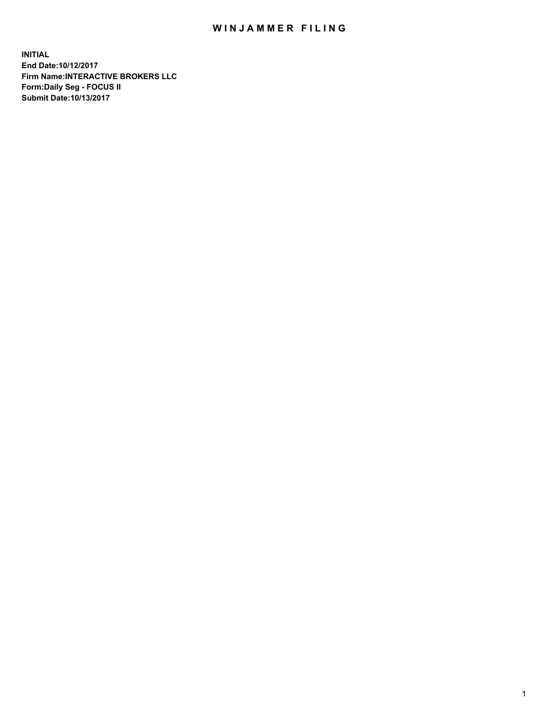## WIN JAMMER FILING

**INITIAL End Date:10/12/2017 Firm Name:INTERACTIVE BROKERS LLC Form:Daily Seg - FOCUS II Submit Date:10/13/2017**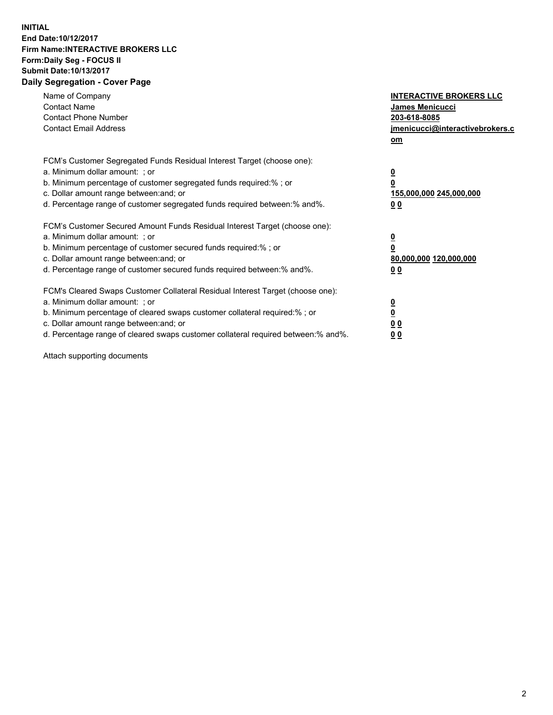## **INITIAL End Date:10/12/2017 Firm Name:INTERACTIVE BROKERS LLC Form:Daily Seg - FOCUS II Submit Date:10/13/2017 Daily Segregation - Cover Page**

| Name of Company<br><b>Contact Name</b><br><b>Contact Phone Number</b><br><b>Contact Email Address</b>                                                                                                                                                                                                                          | <b>INTERACTIVE BROKERS LLC</b><br><b>James Menicucci</b><br>203-618-8085<br>jmenicucci@interactivebrokers.c<br>om |
|--------------------------------------------------------------------------------------------------------------------------------------------------------------------------------------------------------------------------------------------------------------------------------------------------------------------------------|-------------------------------------------------------------------------------------------------------------------|
| FCM's Customer Segregated Funds Residual Interest Target (choose one):<br>a. Minimum dollar amount: ; or<br>b. Minimum percentage of customer segregated funds required:%; or<br>c. Dollar amount range between: and; or<br>d. Percentage range of customer segregated funds required between:% and%.                          | $\overline{\mathbf{0}}$<br>0<br>155,000,000 245,000,000<br>00                                                     |
| FCM's Customer Secured Amount Funds Residual Interest Target (choose one):<br>a. Minimum dollar amount: ; or<br>b. Minimum percentage of customer secured funds required:%; or<br>c. Dollar amount range between: and; or<br>d. Percentage range of customer secured funds required between: % and %.                          | $\overline{\mathbf{0}}$<br>0<br>80,000,000 120,000,000<br>0 <sub>0</sub>                                          |
| FCM's Cleared Swaps Customer Collateral Residual Interest Target (choose one):<br>a. Minimum dollar amount: ; or<br>b. Minimum percentage of cleared swaps customer collateral required:% ; or<br>c. Dollar amount range between: and; or<br>d. Percentage range of cleared swaps customer collateral required between:% and%. | $\overline{\mathbf{0}}$<br>$\overline{\mathbf{0}}$<br>0 <sub>0</sub><br><u>00</u>                                 |

Attach supporting documents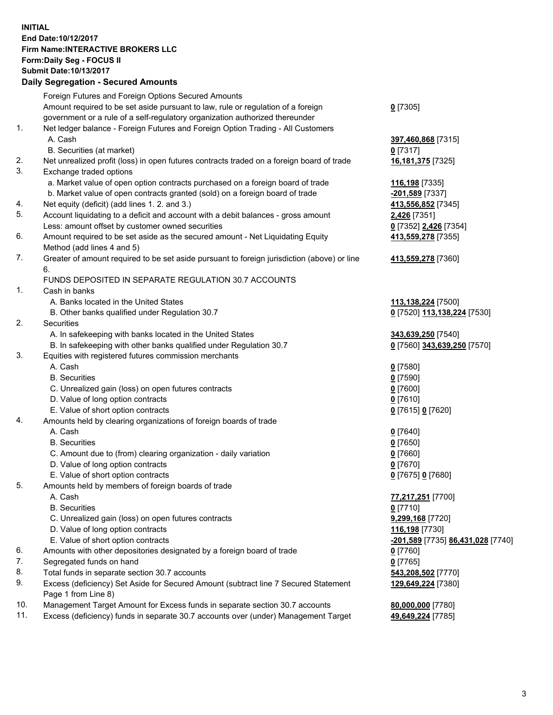## **INITIAL End Date:10/12/2017 Firm Name:INTERACTIVE BROKERS LLC Form:Daily Seg - FOCUS II Submit Date:10/13/2017 Daily Segregation - Secured Amounts**

|     | Daily Jegiegation - Jeculed Aniounts                                                                       |                                   |
|-----|------------------------------------------------------------------------------------------------------------|-----------------------------------|
|     | Foreign Futures and Foreign Options Secured Amounts                                                        |                                   |
|     | Amount required to be set aside pursuant to law, rule or regulation of a foreign                           | $0$ [7305]                        |
|     | government or a rule of a self-regulatory organization authorized thereunder                               |                                   |
| 1.  | Net ledger balance - Foreign Futures and Foreign Option Trading - All Customers                            |                                   |
|     | A. Cash                                                                                                    | 397,460,868 [7315]                |
|     | B. Securities (at market)                                                                                  | $0$ [7317]                        |
| 2.  | Net unrealized profit (loss) in open futures contracts traded on a foreign board of trade                  | 16,181,375 [7325]                 |
| 3.  | Exchange traded options                                                                                    |                                   |
|     | a. Market value of open option contracts purchased on a foreign board of trade                             | 116,198 [7335]                    |
|     | b. Market value of open contracts granted (sold) on a foreign board of trade                               | -201,589 [7337]                   |
| 4.  | Net equity (deficit) (add lines 1.2. and 3.)                                                               | 413,556,852 [7345]                |
| 5.  | Account liquidating to a deficit and account with a debit balances - gross amount                          | 2,426 [7351]                      |
|     | Less: amount offset by customer owned securities                                                           | 0 [7352] 2,426 [7354]             |
| 6.  | Amount required to be set aside as the secured amount - Net Liquidating Equity                             | 413,559,278 [7355]                |
|     | Method (add lines 4 and 5)                                                                                 |                                   |
| 7.  | Greater of amount required to be set aside pursuant to foreign jurisdiction (above) or line                | 413,559,278 [7360]                |
|     | 6.                                                                                                         |                                   |
|     | FUNDS DEPOSITED IN SEPARATE REGULATION 30.7 ACCOUNTS                                                       |                                   |
| 1.  | Cash in banks                                                                                              |                                   |
|     | A. Banks located in the United States                                                                      | 113,138,224 [7500]                |
|     | B. Other banks qualified under Regulation 30.7                                                             | 0 [7520] 113,138,224 [7530]       |
| 2.  | Securities                                                                                                 |                                   |
|     | A. In safekeeping with banks located in the United States                                                  | 343,639,250 [7540]                |
|     | B. In safekeeping with other banks qualified under Regulation 30.7                                         | 0 [7560] 343,639,250 [7570]       |
| 3.  | Equities with registered futures commission merchants                                                      |                                   |
|     | A. Cash                                                                                                    | $0$ [7580]                        |
|     | <b>B.</b> Securities                                                                                       | $0$ [7590]                        |
|     | C. Unrealized gain (loss) on open futures contracts                                                        | $0$ [7600]                        |
|     | D. Value of long option contracts                                                                          | $0$ [7610]                        |
|     | E. Value of short option contracts                                                                         | 0 [7615] 0 [7620]                 |
| 4.  | Amounts held by clearing organizations of foreign boards of trade                                          |                                   |
|     | A. Cash                                                                                                    | $0$ [7640]                        |
|     | <b>B.</b> Securities                                                                                       | $0$ [7650]                        |
|     | C. Amount due to (from) clearing organization - daily variation                                            | $0$ [7660]                        |
|     | D. Value of long option contracts                                                                          | $0$ [7670]                        |
|     | E. Value of short option contracts                                                                         | 0 [7675] 0 [7680]                 |
| 5.  | Amounts held by members of foreign boards of trade                                                         |                                   |
|     | A. Cash                                                                                                    | 77,217,251 [7700]                 |
|     | <b>B.</b> Securities                                                                                       | $0$ [7710]                        |
|     | C. Unrealized gain (loss) on open futures contracts                                                        | 9,299,168 [7720]                  |
|     | D. Value of long option contracts                                                                          | 116,198 [7730]                    |
|     | E. Value of short option contracts                                                                         | -201,589 [7735] 86,431,028 [7740] |
| 6.  | Amounts with other depositories designated by a foreign board of trade                                     | 0 [7760]                          |
| 7.  | Segregated funds on hand                                                                                   | $0$ [7765]                        |
| 8.  | Total funds in separate section 30.7 accounts                                                              | 543,208,502 [7770]                |
| 9.  | Excess (deficiency) Set Aside for Secured Amount (subtract line 7 Secured Statement<br>Page 1 from Line 8) | 129,649,224 [7380]                |
| 10. | Management Target Amount for Excess funds in separate section 30.7 accounts                                | 80,000,000 [7780]                 |
| 11. | Excess (deficiency) funds in separate 30.7 accounts over (under) Management Target                         | 49,649,224 [7785]                 |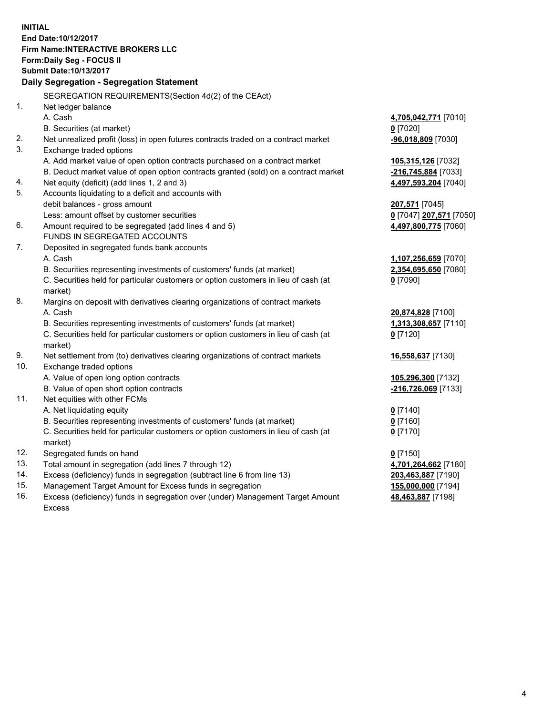**INITIAL End Date:10/12/2017 Firm Name:INTERACTIVE BROKERS LLC Form:Daily Seg - FOCUS II Submit Date:10/13/2017 Daily Segregation - Segregation Statement** SEGREGATION REQUIREMENTS(Section 4d(2) of the CEAct) 1. Net ledger balance A. Cash **4,705,042,771** [7010] B. Securities (at market) **0** [7020] 2. Net unrealized profit (loss) in open futures contracts traded on a contract market **-96,018,809** [7030] 3. Exchange traded options A. Add market value of open option contracts purchased on a contract market **105,315,126** [7032] B. Deduct market value of open option contracts granted (sold) on a contract market **-216,745,884** [7033] 4. Net equity (deficit) (add lines 1, 2 and 3) **4,497,593,204** [7040] 5. Accounts liquidating to a deficit and accounts with debit balances - gross amount **207,571** [7045] Less: amount offset by customer securities **0** [7047] **207,571** [7050] 6. Amount required to be segregated (add lines 4 and 5) **4,497,800,775** [7060] FUNDS IN SEGREGATED ACCOUNTS 7. Deposited in segregated funds bank accounts A. Cash **1,107,256,659** [7070] B. Securities representing investments of customers' funds (at market) **2,354,695,650** [7080] C. Securities held for particular customers or option customers in lieu of cash (at market) **0** [7090] 8. Margins on deposit with derivatives clearing organizations of contract markets A. Cash **20,874,828** [7100] B. Securities representing investments of customers' funds (at market) **1,313,308,657** [7110] C. Securities held for particular customers or option customers in lieu of cash (at market) **0** [7120] 9. Net settlement from (to) derivatives clearing organizations of contract markets **16,558,637** [7130] 10. Exchange traded options A. Value of open long option contracts **105,296,300** [7132] B. Value of open short option contracts **-216,726,069** [7133] 11. Net equities with other FCMs A. Net liquidating equity **0** [7140] B. Securities representing investments of customers' funds (at market) **0** [7160] C. Securities held for particular customers or option customers in lieu of cash (at market) **0** [7170] 12. Segregated funds on hand **0** [7150] 13. Total amount in segregation (add lines 7 through 12) **4,701,264,662** [7180] 14. Excess (deficiency) funds in segregation (subtract line 6 from line 13) **203,463,887** [7190] 15. Management Target Amount for Excess funds in segregation **155,000,000** [7194] **48,463,887** [7198]

16. Excess (deficiency) funds in segregation over (under) Management Target Amount Excess